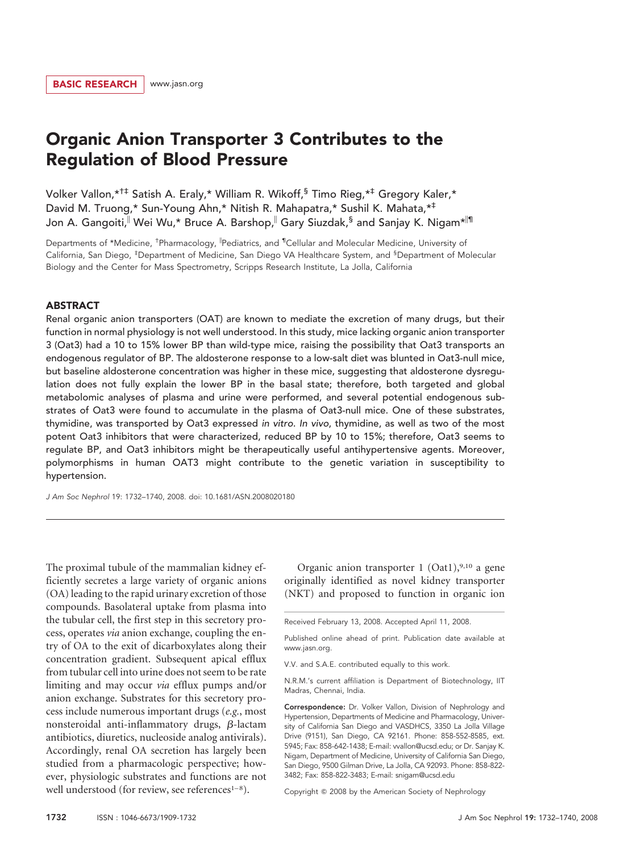# Organic Anion Transporter 3 Contributes to the Regulation of Blood Pressure

Volker Vallon,\*†‡ Satish A. Eraly,\* William R. Wikoff,§ Timo Rieg,\*‡ Gregory Kaler,\* David M. Truong,\* Sun-Young Ahn,\* Nitish R. Mahapatra,\* Sushil K. Mahata,\*‡ Jon A. Gangoiti, Wei Wu,\* Bruce A. Barshop, Gary Siuzdak, S and Sanjay K. Nigam\*<sup>||¶</sup>

Departments of \*Medicine, <sup>†</sup>Pharmacology, <sup>||</sup>Pediatrics, and <sup>¶</sup>Cellular and Molecular Medicine, University of California, San Diego, ‡Department of Medicine, San Diego VA Healthcare System, and <sup>§</sup>Department of Molecular Biology and the Center for Mass Spectrometry, Scripps Research Institute, La Jolla, California

## **ABSTRACT**

Renal organic anion transporters (OAT) are known to mediate the excretion of many drugs, but their function in normal physiology is not well understood. In this study, mice lacking organic anion transporter 3 (Oat3) had a 10 to 15% lower BP than wild-type mice, raising the possibility that Oat3 transports an endogenous regulator of BP. The aldosterone response to a low-salt diet was blunted in Oat3-null mice, but baseline aldosterone concentration was higher in these mice, suggesting that aldosterone dysregulation does not fully explain the lower BP in the basal state; therefore, both targeted and global metabolomic analyses of plasma and urine were performed, and several potential endogenous substrates of Oat3 were found to accumulate in the plasma of Oat3-null mice. One of these substrates, thymidine, was transported by Oat3 expressed *in vitro*. *In vivo*, thymidine, as well as two of the most potent Oat3 inhibitors that were characterized, reduced BP by 10 to 15%; therefore, Oat3 seems to regulate BP, and Oat3 inhibitors might be therapeutically useful antihypertensive agents. Moreover, polymorphisms in human OAT3 might contribute to the genetic variation in susceptibility to hypertension.

*J Am Soc Nephrol* 19: 1732–1740, 2008. doi: 10.1681/ASN.2008020180

The proximal tubule of the mammalian kidney efficiently secretes a large variety of organic anions (OA) leading to the rapid urinary excretion of those compounds. Basolateral uptake from plasma into the tubular cell, the first step in this secretory process, operates *via* anion exchange, coupling the entry of OA to the exit of dicarboxylates along their concentration gradient. Subsequent apical efflux from tubular cell into urine does not seem to be rate limiting and may occur *via* efflux pumps and/or anion exchange. Substrates for this secretory process include numerous important drugs (*e.g.*, most nonsteroidal anti-inflammatory drugs,  $\beta$ -lactam antibiotics, diuretics, nucleoside analog antivirals). Accordingly, renal OA secretion has largely been studied from a pharmacologic perspective; however, physiologic substrates and functions are not well understood (for review, see references<sup>1-8</sup>).

Organic anion transporter  $1$  (Oat1),<sup>9,10</sup> a gene originally identified as novel kidney transporter (NKT) and proposed to function in organic ion

Copyright © 2008 by the American Society of Nephrology

Received February 13, 2008. Accepted April 11, 2008.

Published online ahead of print. Publication date available at www.jasn.org.

V.V. and S.A.E. contributed equally to this work.

N.R.M.'s current affiliation is Department of Biotechnology, IIT Madras, Chennai, India.

Correspondence: Dr. Volker Vallon, Division of Nephrology and Hypertension, Departments of Medicine and Pharmacology, University of California San Diego and VASDHCS, 3350 La Jolla Village Drive (9151), San Diego, CA 92161. Phone: 858-552-8585, ext. 5945; Fax: 858-642-1438; E-mail: vvallon@ucsd.edu; or Dr. Sanjay K. Nigam, Department of Medicine, University of California San Diego, San Diego, 9500 Gilman Drive, La Jolla, CA 92093. Phone: 858-822- 3482; Fax: 858-822-3483; E-mail: snigam@ucsd.edu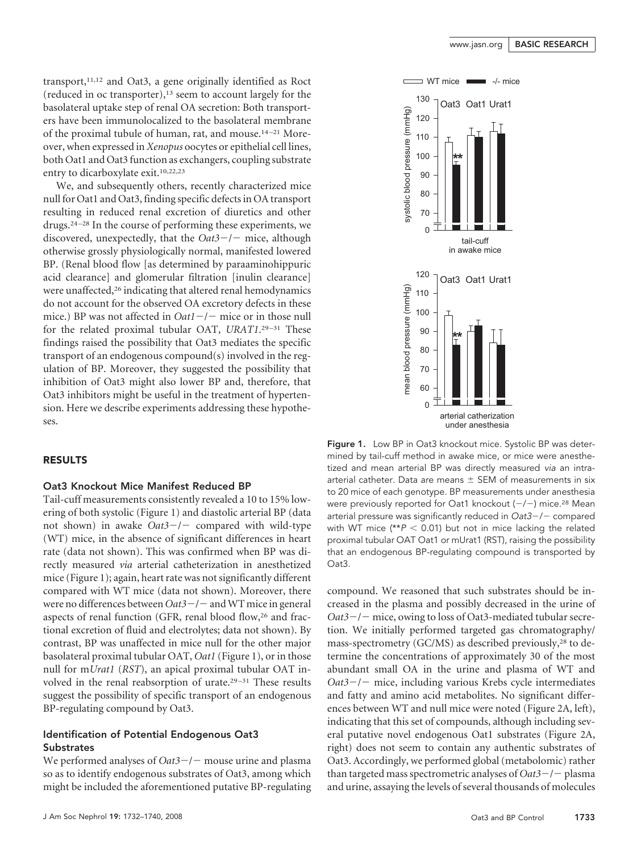transport,11,12 and Oat3, a gene originally identified as Roct (reduced in oc transporter),13 seem to account largely for the basolateral uptake step of renal OA secretion: Both transporters have been immunolocalized to the basolateral membrane of the proximal tubule of human, rat, and mouse.<sup>14-21</sup> Moreover, when expressed in *Xenopus* oocytes or epithelial cell lines, both Oat1 and Oat3 function as exchangers, coupling substrate entry to dicarboxylate exit.10,22,23

We, and subsequently others, recently characterized mice null for Oat1 and Oat3, finding specific defects in OA transport resulting in reduced renal excretion of diuretics and other drugs.24 –28 In the course of performing these experiments, we discovered, unexpectedly, that the *Oat3-/-* mice, although otherwise grossly physiologically normal, manifested lowered BP. (Renal blood flow [as determined by paraaminohippuric acid clearance] and glomerular filtration [inulin clearance] were unaffected,26 indicating that altered renal hemodynamics do not account for the observed OA excretory defects in these mice.) BP was not affected in  $Oat1-/-$  mice or in those null for the related proximal tubular OAT, *URAT1*.<sup>29-31</sup> These findings raised the possibility that Oat3 mediates the specific transport of an endogenous compound(s) involved in the regulation of BP. Moreover, they suggested the possibility that inhibition of Oat3 might also lower BP and, therefore, that Oat3 inhibitors might be useful in the treatment of hypertension. Here we describe experiments addressing these hypotheses.

## RESULTS

# Oat3 Knockout Mice Manifest Reduced BP

Tail-cuff measurements consistently revealed a 10 to 15% lowering of both systolic (Figure 1) and diastolic arterial BP (data not shown) in awake  $Oat3-/-$  compared with wild-type (WT) mice, in the absence of significant differences in heart rate (data not shown). This was confirmed when BP was directly measured *via* arterial catheterization in anesthetized mice (Figure 1); again, heart rate was not significantly different compared with WT mice (data not shown). Moreover, there were no differences between  $\frac{Out3-}{}$  and WT mice in general aspects of renal function (GFR, renal blood flow,<sup>26</sup> and fractional excretion of fluid and electrolytes; data not shown). By contrast, BP was unaffected in mice null for the other major basolateral proximal tubular OAT, *Oat1* (Figure 1), or in those null for m*Urat1* (*RST*), an apical proximal tubular OAT involved in the renal reabsorption of urate.<sup>29-31</sup> These results suggest the possibility of specific transport of an endogenous BP-regulating compound by Oat3.

# Identification of Potential Endogenous Oat3 **Substrates**

We performed analyses of  $Oat3-/-$  mouse urine and plasma so as to identify endogenous substrates of Oat3, among which might be included the aforementioned putative BP-regulating



Figure 1. Low BP in Oat3 knockout mice. Systolic BP was determined by tail-cuff method in awake mice, or mice were anesthetized and mean arterial BP was directly measured *via* an intraarterial catheter. Data are means  $\pm$  SEM of measurements in six to 20 mice of each genotype. BP measurements under anesthesia were previously reported for Oat1 knockout  $(-/-)$  mice.<sup>28</sup> Mean arterial pressure was significantly reduced in *Oat3-/-* compared with WT mice  $(**P < 0.01)$  but not in mice lacking the related proximal tubular OAT Oat1 or mUrat1 (RST), raising the possibility that an endogenous BP-regulating compound is transported by Oat3.

compound. We reasoned that such substrates should be increased in the plasma and possibly decreased in the urine of  $Qat3-/-$  mice, owing to loss of Oat3-mediated tubular secretion. We initially performed targeted gas chromatography/ mass-spectrometry (GC/MS) as described previously,<sup>28</sup> to determine the concentrations of approximately 30 of the most abundant small OA in the urine and plasma of WT and Oat3-/- mice, including various Krebs cycle intermediates and fatty and amino acid metabolites. No significant differences between WT and null mice were noted (Figure 2A, left), indicating that this set of compounds, although including several putative novel endogenous Oat1 substrates (Figure 2A, right) does not seem to contain any authentic substrates of Oat3. Accordingly, we performed global (metabolomic) rather than targeted mass spectrometric analyses of  $Oat3-/-$  plasma  $\frac{25}{20}$  and  $\frac{25}{20}$  and  $\frac{25}{20}$  and  $\frac{25}{20}$  and  $\frac{25}{20}$  and  $\frac{25}{20}$  and  $\frac{25}{20}$  and  $\frac{25}{20}$  and  $\frac{25}{20}$  and  $\frac{25}{20}$  and  $\frac{25}{20}$  and  $\frac{25}{20}$  and  $\frac{25}{20}$  and  $\frac{25}{20}$  a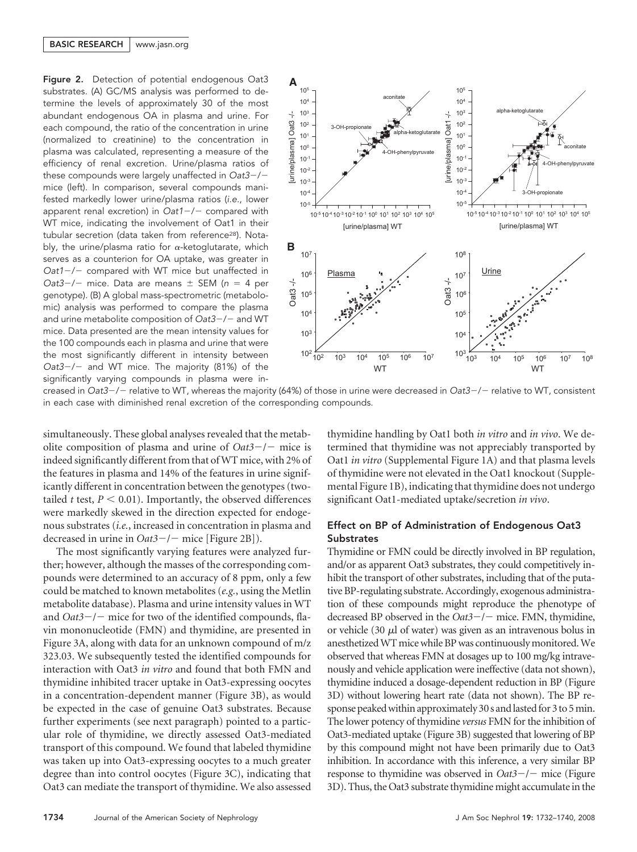Figure 2. Detection of potential endogenous Oat3 substrates. (A) GC/MS analysis was performed to determine the levels of approximately 30 of the most abundant endogenous OA in plasma and urine. For each compound, the ratio of the concentration in urine (normalized to creatinine) to the concentration in plasma was calculated, representing a measure of the efficiency of renal excretion. Urine/plasma ratios of these compounds were largely unaffected in Oat3-/mice (left). In comparison, several compounds manifested markedly lower urine/plasma ratios (*i.e.*, lower apparent renal excretion) in *Oat1-/-* compared with WT mice, indicating the involvement of Oat1 in their tubular secretion (data taken from reference<sup>28</sup>). Notably, the urine/plasma ratio for  $\alpha$ -ketoglutarate, which serves as a counterion for OA uptake, was greater in Oat1-/- compared with WT mice but unaffected in  $Oat3-/-$  mice. Data are means  $\pm$  SEM ( $n = 4$  per genotype). (B) A global mass-spectrometric (metabolomic) analysis was performed to compare the plasma and urine metabolite composition of Oat3-/- and WT mice. Data presented are the mean intensity values for the 100 compounds each in plasma and urine that were the most significantly different in intensity between Oat3-/- and WT mice. The majority (81%) of the significantly varying compounds in plasma were in-



creased in *Oat3-/-* relative to WT, whereas the majority (64%) of those in urine were decreased in *Oat3-/-* relative to WT, consistent in each case with diminished renal excretion of the corresponding compounds.

simultaneously. These global analyses revealed that the metabolite composition of plasma and urine of  $Oat3-/-$  mice is indeed significantly different from that ofWT mice, with 2% of the features in plasma and 14% of the features in urine significantly different in concentration between the genotypes (twotailed *t* test,  $P \leq 0.01$ ). Importantly, the observed differences were markedly skewed in the direction expected for endogenous substrates (*i.e.*, increased in concentration in plasma and decreased in urine in  $\text{Out3}-/-$  mice [Figure 2B]).

The most significantly varying features were analyzed further; however, although the masses of the corresponding compounds were determined to an accuracy of 8 ppm, only a few could be matched to known metabolites (*e.g.*, using the Metlin metabolite database). Plasma and urine intensity values in WT and  $Oat3-/-$  mice for two of the identified compounds, flavin mononucleotide (FMN) and thymidine, are presented in Figure 3A, along with data for an unknown compound of m/z 323.03. We subsequently tested the identified compounds for interaction with Oat3 *in vitro* and found that both FMN and thymidine inhibited tracer uptake in Oat3-expressing oocytes in a concentration-dependent manner (Figure 3B), as would be expected in the case of genuine Oat3 substrates. Because further experiments (see next paragraph) pointed to a particular role of thymidine, we directly assessed Oat3-mediated transport of this compound. We found that labeled thymidine was taken up into Oat3-expressing oocytes to a much greater degree than into control oocytes (Figure 3C), indicating that Oat3 can mediate the transport of thymidine. We also assessed

thymidine handling by Oat1 both *in vitro* and *in vivo*. We determined that thymidine was not appreciably transported by Oat1 *in vitro* (Supplemental Figure 1A) and that plasma levels of thymidine were not elevated in the Oat1 knockout (Supplemental Figure 1B), indicating that thymidine does not undergo significant Oat1-mediated uptake/secretion *in vivo*.

# Effect on BP of Administration of Endogenous Oat3 **Substrates**

Thymidine or FMN could be directly involved in BP regulation, and/or as apparent Oat3 substrates, they could competitively inhibit the transport of other substrates, including that of the putative BP-regulating substrate. Accordingly, exogenous administration of these compounds might reproduce the phenotype of decreased BP observed in the *Oat3*-/- mice. FMN, thymidine, or vehicle  $(30 \mu l)$  of water) was given as an intravenous bolus in anesthetizedWT mice while BP was continuously monitored.We observed that whereas FMN at dosages up to 100 mg/kg intravenously and vehicle application were ineffective (data not shown), thymidine induced a dosage-dependent reduction in BP (Figure 3D) without lowering heart rate (data not shown). The BP response peaked within approximately 30 s and lasted for 3 to 5 min. The lower potency of thymidine *versus* FMN for the inhibition of Oat3-mediated uptake (Figure 3B) suggested that lowering of BP by this compound might not have been primarily due to Oat3 inhibition. In accordance with this inference, a very similar BP response to thymidine was observed in  $Oat3-/-$  mice (Figure 3D). Thus, the Oat3 substrate thymidine might accumulate in the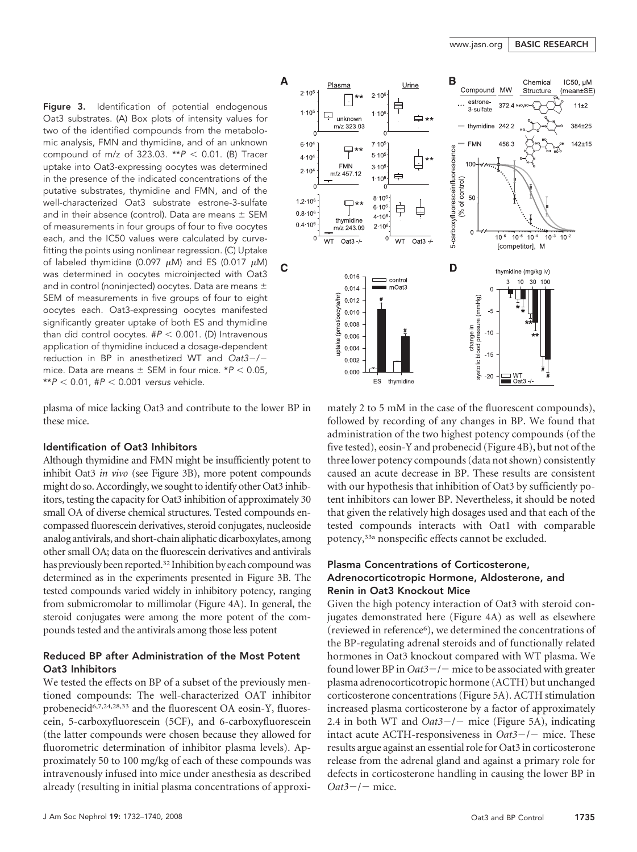Figure 3. Identification of potential endogenous Oat3 substrates. (A) Box plots of intensity values for two of the identified compounds from the metabolomic analysis, FMN and thymidine, and of an unknown compound of m/z of 323.03.  $*P < 0.01$ . (B) Tracer uptake into Oat3-expressing oocytes was determined in the presence of the indicated concentrations of the putative substrates, thymidine and FMN, and of the well-characterized Oat3 substrate estrone-3-sulfate and in their absence (control). Data are means  $\pm$  SEM of measurements in four groups of four to five oocytes each, and the IC50 values were calculated by curvefitting the points using nonlinear regression. (C) Uptake of labeled thymidine (0.097  $\mu$ M) and ES (0.017  $\mu$ M) was determined in oocytes microinjected with Oat3 and in control (noninjected) oocytes. Data are means  $\pm$ SEM of measurements in five groups of four to eight oocytes each. Oat3-expressing oocytes manifested significantly greater uptake of both ES and thymidine than did control oocytes.  $\#P < 0.001$ . (D) Intravenous application of thymidine induced a dosage-dependent reduction in BP in anesthetized WT and Oat3-/mice. Data are means  $\pm$  SEM in four mice.  $^{\star}P$   $<$  0.05, \*\**P* 0.01, #*P* 0.001 *versus* vehicle.

plasma of mice lacking Oat3 and contribute to the lower BP in these mice.

## Identification of Oat3 Inhibitors

Although thymidine and FMN might be insufficiently potent to inhibit Oat3 *in vivo* (see Figure 3B), more potent compounds might do so. Accordingly, we sought to identify other Oat3 inhibitors, testing the capacity for Oat3 inhibition of approximately 30 small OA of diverse chemical structures. Tested compounds encompassed fluorescein derivatives, steroid conjugates, nucleoside analog antivirals, and short-chain aliphatic dicarboxylates, among other small OA; data on the fluorescein derivatives and antivirals has previously been reported.<sup>32</sup> Inhibition by each compound was determined as in the experiments presented in Figure 3B. The tested compounds varied widely in inhibitory potency, ranging from submicromolar to millimolar (Figure 4A). In general, the steroid conjugates were among the more potent of the compounds tested and the antivirals among those less potent

# Reduced BP after Administration of the Most Potent Oat3 Inhibitors

We tested the effects on BP of a subset of the previously mentioned compounds: The well-characterized OAT inhibitor probenecid6,7,24,28,33 and the fluorescent OA eosin-Y, fluorescein, 5-carboxyfluorescein (5CF), and 6-carboxyfluorescein (the latter compounds were chosen because they allowed for fluorometric determination of inhibitor plasma levels). Approximately 50 to 100 mg/kg of each of these compounds was intravenously infused into mice under anesthesia as described already (resulting in initial plasma concentrations of approxi-



mately 2 to 5 mM in the case of the fluorescent compounds), followed by recording of any changes in BP. We found that administration of the two highest potency compounds (of the five tested), eosin-Y and probenecid (Figure 4B), but not of the three lower potency compounds (data not shown) consistently caused an acute decrease in BP. These results are consistent with our hypothesis that inhibition of Oat3 by sufficiently potent inhibitors can lower BP. Nevertheless, it should be noted that given the relatively high dosages used and that each of the tested compounds interacts with Oat1 with comparable potency,33a nonspecific effects cannot be excluded.

# Plasma Concentrations of Corticosterone, Adrenocorticotropic Hormone, Aldosterone, and Renin in Oat3 Knockout Mice

Given the high potency interaction of Oat3 with steroid conjugates demonstrated here (Figure 4A) as well as elsewhere (reviewed in reference6), we determined the concentrations of the BP-regulating adrenal steroids and of functionally related hormones in Oat3 knockout compared with WT plasma. We found lower BP in  $Oat3-/-$  mice to be associated with greater plasma adrenocorticotropic hormone (ACTH) but unchanged corticosterone concentrations (Figure 5A). ACTH stimulation increased plasma corticosterone by a factor of approximately 2.4 in both WT and  $Out3-/-$  mice (Figure 5A), indicating intact acute ACTH-responsiveness in  $Oat3-/-$  mice. These results argue against an essential role for Oat3 in corticosterone release from the adrenal gland and against a primary role for defects in corticosterone handling in causing the lower BP in Oat3-/- mice.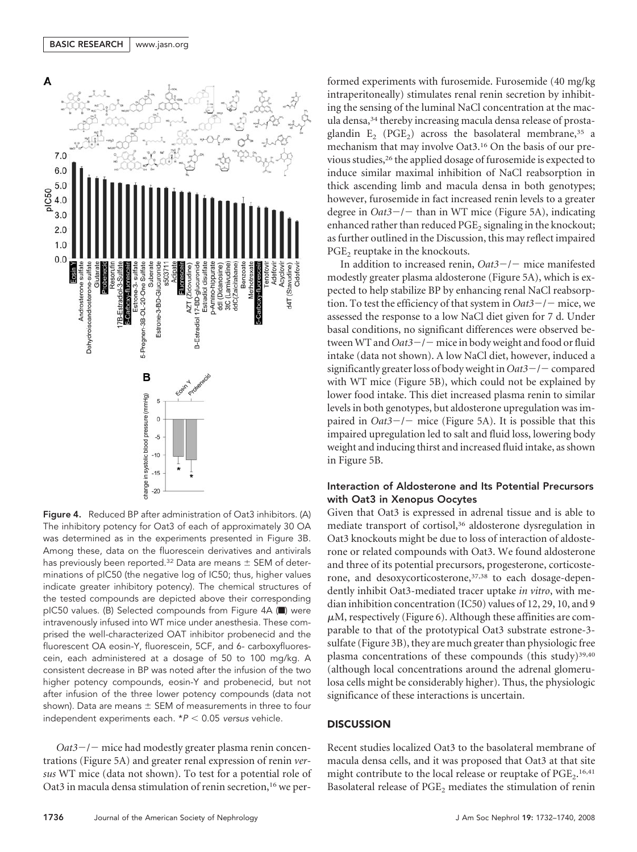

Figure 4. Reduced BP after administration of Oat3 inhibitors. (A) The inhibitory potency for Oat3 of each of approximately 30 OA was determined as in the experiments presented in Figure 3B. Among these, data on the fluorescein derivatives and antivirals has previously been reported.<sup>32</sup> Data are means  $\pm$  SEM of determinations of pIC50 (the negative log of IC50; thus, higher values indicate greater inhibitory potency). The chemical structures of the tested compounds are depicted above their corresponding pIC50 values. (B) Selected compounds from Figure 4A () were intravenously infused into WT mice under anesthesia. These comprised the well-characterized OAT inhibitor probenecid and the fluorescent OA eosin-Y, fluorescein, 5CF, and 6- carboxyfluorescein, each administered at a dosage of 50 to 100 mg/kg. A consistent decrease in BP was noted after the infusion of the two higher potency compounds, eosin-Y and probenecid, but not after infusion of the three lower potency compounds (data not shown). Data are means  $\pm$  SEM of measurements in three to four independent experiments each. \**P* < 0.05 *versus* vehicle.

Oat3-/- mice had modestly greater plasma renin concentrations (Figure 5A) and greater renal expression of renin *versus* WT mice (data not shown). To test for a potential role of Oat3 in macula densa stimulation of renin secretion,<sup>16</sup> we performed experiments with furosemide. Furosemide (40 mg/kg intraperitoneally) stimulates renal renin secretion by inhibiting the sensing of the luminal NaCl concentration at the macula densa,34 thereby increasing macula densa release of prostaglandin E<sub>2</sub> (PGE<sub>2</sub>) across the basolateral membrane,<sup>35</sup> a mechanism that may involve Oat3.16 On the basis of our previous studies,26 the applied dosage of furosemide is expected to induce similar maximal inhibition of NaCl reabsorption in thick ascending limb and macula densa in both genotypes; however, furosemide in fact increased renin levels to a greater degree in  $Oat3-/-$  than in WT mice (Figure 5A), indicating enhanced rather than reduced PGE<sub>2</sub> signaling in the knockout; as further outlined in the Discussion, this may reflect impaired PGE<sub>2</sub> reuptake in the knockouts.

In addition to increased renin,  $Oat3-/-$  mice manifested modestly greater plasma aldosterone (Figure 5A), which is expected to help stabilize BP by enhancing renal NaCl reabsorption. To test the efficiency of that system in  $Qat3-/-$  mice, we assessed the response to a low NaCl diet given for 7 d. Under basal conditions, no significant differences were observed between WT and *Oat3-/-* mice in body weight and food or fluid intake (data not shown). A low NaCl diet, however, induced a significantly greater loss of body weight in  $Oat3-/-$  compared with WT mice (Figure 5B), which could not be explained by lower food intake. This diet increased plasma renin to similar levels in both genotypes, but aldosterone upregulation was impaired in  $Out3-/-$  mice (Figure 5A). It is possible that this impaired upregulation led to salt and fluid loss, lowering body weight and inducing thirst and increased fluid intake, as shown in Figure 5B.

# Interaction of Aldosterone and Its Potential Precursors with Oat3 in Xenopus Oocytes

Given that Oat3 is expressed in adrenal tissue and is able to mediate transport of cortisol,36 aldosterone dysregulation in Oat3 knockouts might be due to loss of interaction of aldosterone or related compounds with Oat3. We found aldosterone and three of its potential precursors, progesterone, corticosterone, and desoxycorticosterone,<sup>37,38</sup> to each dosage-dependently inhibit Oat3-mediated tracer uptake *in vitro*, with median inhibition concentration (IC50) values of 12, 29, 10, and 9  $\mu$ M, respectively (Figure 6). Although these affinities are comparable to that of the prototypical Oat3 substrate estrone-3 sulfate (Figure 3B), they are much greater than physiologic free plasma concentrations of these compounds (this study)<sup>39,40</sup> (although local concentrations around the adrenal glomerulosa cells might be considerably higher). Thus, the physiologic significance of these interactions is uncertain.

# **DISCUSSION**

Recent studies localized Oat3 to the basolateral membrane of macula densa cells, and it was proposed that Oat3 at that site might contribute to the local release or reuptake of  $\mathrm{PGE}_{2}$ <sup>16,41</sup> Basolateral release of  $PGE<sub>2</sub>$  mediates the stimulation of renin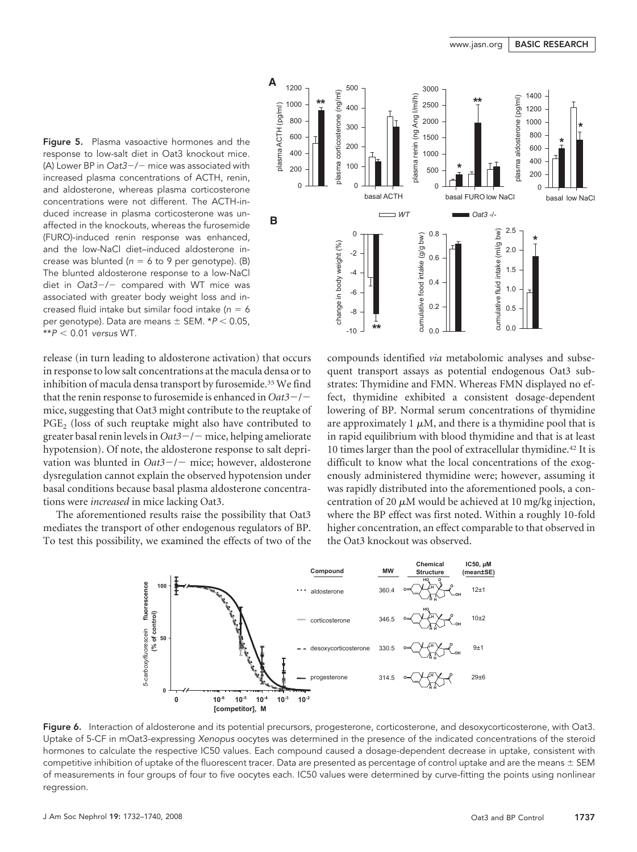

release (in turn leading to aldosterone activation) that occurs in response to low salt concentrations at the macula densa or to inhibition of macula densa transport by furosemide.<sup>35</sup> We find that the renin response to furosemide is enhanced in  $Oat3-/$ mice, suggesting that Oat3 might contribute to the reuptake of PGE<sub>2</sub> (loss of such reuptake might also have contributed to greater basal renin levels in  $Oat3-/-$  mice, helping ameliorate hypotension). Of note, the aldosterone response to salt deprivation was blunted in  $Out3-/-$  mice; however, aldosterone dysregulation cannot explain the observed hypotension under basal conditions because basal plasma aldosterone concentrations were *increased* in mice lacking Oat3.

The aforementioned results raise the possibility that Oat3 mediates the transport of other endogenous regulators of BP. To test this possibility, we examined the effects of two of the



compounds identified *via* metabolomic analyses and subsequent transport assays as potential endogenous Oat3 substrates: Thymidine and FMN. Whereas FMN displayed no effect, thymidine exhibited a consistent dosage-dependent lowering of BP. Normal serum concentrations of thymidine are approximately 1  $\mu$ M, and there is a thymidine pool that is in rapid equilibrium with blood thymidine and that is at least 10 times larger than the pool of extracellular thymidine.42 It is difficult to know what the local concentrations of the exogenously administered thymidine were; however, assuming it was rapidly distributed into the aforementioned pools, a concentration of 20  $\mu$ M would be achieved at 10 mg/kg injection, where the BP effect was first noted. Within a roughly 10-fold higher concentration, an effect comparable to that observed in the Oat3 knockout was observed.



Figure 6. Interaction of aldosterone and its potential precursors, progesterone, corticosterone, and desoxycorticosterone, with Oat3. Uptake of 5-CF in mOat3-expressing *Xenopus* oocytes was determined in the presence of the indicated concentrations of the steroid hormones to calculate the respective IC50 values. Each compound caused a dosage-dependent decrease in uptake, consistent with competitive inhibition of uptake of the fluorescent tracer. Data are presented as percentage of control uptake and are the means  $\pm$  SEM of measurements in four groups of four to five oocytes each. IC50 values were determined by curve-fitting the points using nonlinear regression.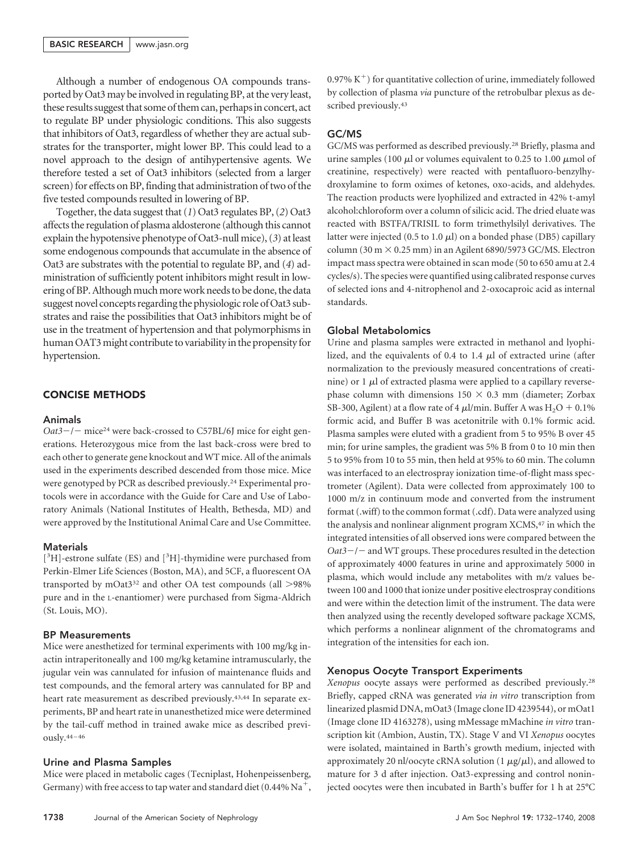Although a number of endogenous OA compounds transported by Oat3 may be involved in regulating BP, at the very least, these results suggest that some of them can, perhaps in concert, act to regulate BP under physiologic conditions. This also suggests that inhibitors of Oat3, regardless of whether they are actual substrates for the transporter, might lower BP. This could lead to a novel approach to the design of antihypertensive agents. We therefore tested a set of Oat3 inhibitors (selected from a larger screen) for effects on BP, finding that administration of two of the five tested compounds resulted in lowering of BP.

Together, the data suggest that (*1*) Oat3 regulates BP, (*2*) Oat3 affects the regulation of plasma aldosterone (although this cannot explain the hypotensive phenotype of Oat3-null mice), (*3*) at least some endogenous compounds that accumulate in the absence of Oat3 are substrates with the potential to regulate BP, and (*4*) administration of sufficiently potent inhibitors might result in lowering of BP. Although much more work needs to be done, the data suggest novel concepts regarding the physiologic role of Oat3 substrates and raise the possibilities that Oat3 inhibitors might be of use in the treatment of hypertension and that polymorphisms in human OAT3 might contribute to variability in the propensity for hypertension.

## CONCISE METHODS

#### Animals

Oat3<sup>-/-</sup> mice<sup>24</sup> were back-crossed to C57BL/6J mice for eight generations. Heterozygous mice from the last back-cross were bred to each other to generate gene knockout and WT mice. All of the animals used in the experiments described descended from those mice. Mice were genotyped by PCR as described previously.24 Experimental protocols were in accordance with the Guide for Care and Use of Laboratory Animals (National Institutes of Health, Bethesda, MD) and were approved by the Institutional Animal Care and Use Committee.

#### **Materials**

[<sup>3</sup>H]-estrone sulfate (ES) and [<sup>3</sup>H]-thymidine were purchased from Perkin-Elmer Life Sciences (Boston, MA), and 5CF, a fluorescent OA transported by mOat $3^{32}$  and other OA test compounds (all  $>98\%$ pure and in the L-enantiomer) were purchased from Sigma-Aldrich (St. Louis, MO).

#### BP Measurements

Mice were anesthetized for terminal experiments with 100 mg/kg inactin intraperitoneally and 100 mg/kg ketamine intramuscularly, the jugular vein was cannulated for infusion of maintenance fluids and test compounds, and the femoral artery was cannulated for BP and heart rate measurement as described previously.43,44 In separate experiments, BP and heart rate in unanesthetized mice were determined by the tail-cuff method in trained awake mice as described previously.44 –46

#### Urine and Plasma Samples

Mice were placed in metabolic cages (Tecniplast, Hohenpeissenberg, Germany) with free access to tap water and standard diet  $(0.44\%$  Na<sup>+</sup>,  $0.97\% K^{+}$  for quantitative collection of urine, immediately followed by collection of plasma *via* puncture of the retrobulbar plexus as described previously.43

#### GC/MS

GC/MS was performed as described previously.28 Briefly, plasma and urine samples (100  $\mu$ l or volumes equivalent to 0.25 to 1.00  $\mu$ mol of creatinine, respectively) were reacted with pentafluoro-benzylhydroxylamine to form oximes of ketones, oxo-acids, and aldehydes. The reaction products were lyophilized and extracted in 42% t-amyl alcohol:chloroform over a column of silicic acid. The dried eluate was reacted with BSTFA/TRISIL to form trimethylsilyl derivatives. The latter were injected (0.5 to 1.0  $\mu$ l) on a bonded phase (DB5) capillary column (30 m  $\times$  0.25 mm) in an Agilent 6890/5973 GC/MS. Electron impact mass spectra were obtained in scan mode (50 to 650 amu at 2.4 cycles/s). The species were quantified using calibrated response curves of selected ions and 4-nitrophenol and 2-oxocaproic acid as internal standards.

## Global Metabolomics

Urine and plasma samples were extracted in methanol and lyophilized, and the equivalents of 0.4 to 1.4  $\mu$ l of extracted urine (after normalization to the previously measured concentrations of creatinine) or  $1 \mu$ l of extracted plasma were applied to a capillary reversephase column with dimensions  $150 \times 0.3$  mm (diameter; Zorbax SB-300, Agilent) at a flow rate of 4  $\mu$ l/min. Buffer A was H<sub>2</sub>O + 0.1% formic acid, and Buffer B was acetonitrile with 0.1% formic acid. Plasma samples were eluted with a gradient from 5 to 95% B over 45 min; for urine samples, the gradient was 5% B from 0 to 10 min then 5 to 95% from 10 to 55 min, then held at 95% to 60 min. The column was interfaced to an electrospray ionization time-of-flight mass spectrometer (Agilent). Data were collected from approximately 100 to 1000 m/z in continuum mode and converted from the instrument format (.wiff) to the common format (.cdf). Data were analyzed using the analysis and nonlinear alignment program XCMS,<sup>47</sup> in which the integrated intensities of all observed ions were compared between the  $Qat3-/-$  and WT groups. These procedures resulted in the detection of approximately 4000 features in urine and approximately 5000 in plasma, which would include any metabolites with m/z values between 100 and 1000 that ionize under positive electrospray conditions and were within the detection limit of the instrument. The data were then analyzed using the recently developed software package XCMS, which performs a nonlinear alignment of the chromatograms and integration of the intensities for each ion.

#### Xenopus Oocyte Transport Experiments

*Xenopus* oocyte assays were performed as described previously.28 Briefly, capped cRNA was generated *via in vitro* transcription from linearized plasmid DNA, mOat3 (Image clone ID 4239544), or mOat1 (Image clone ID 4163278), using mMessage mMachine *in vitro* transcription kit (Ambion, Austin, TX). Stage V and VI *Xenopus* oocytes were isolated, maintained in Barth's growth medium, injected with approximately 20 nl/oocyte cRNA solution  $(1 \ \mu\text{g}/\mu\text{l})$ , and allowed to mature for 3 d after injection. Oat3-expressing and control noninjected oocytes were then incubated in Barth's buffer for 1 h at 25°C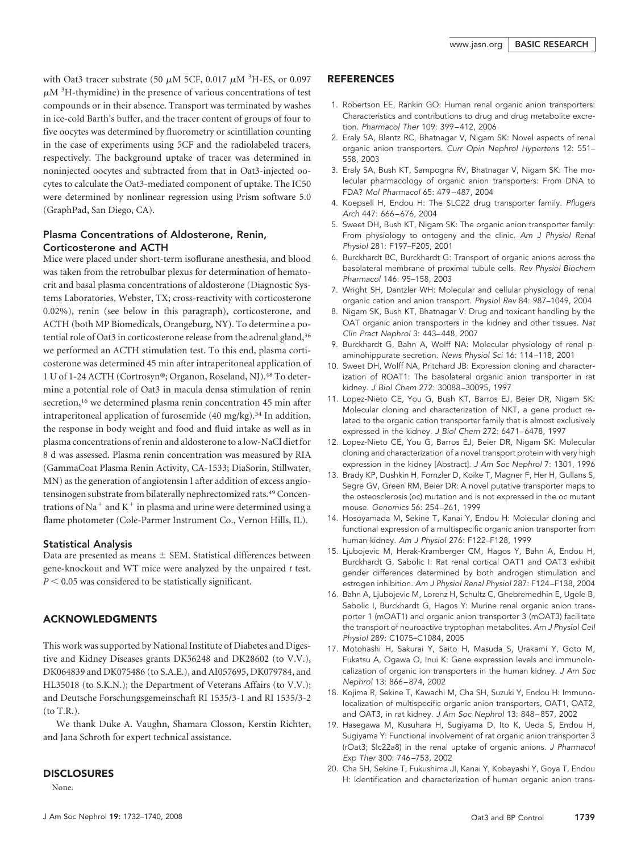with Oat3 tracer substrate (50  $\mu$ M 5CF, 0.017  $\mu$ M <sup>3</sup>H-ES, or 0.097  $\mu$ M <sup>3</sup>H-thymidine) in the presence of various concentrations of test compounds or in their absence. Transport was terminated by washes in ice-cold Barth's buffer, and the tracer content of groups of four to five oocytes was determined by fluorometry or scintillation counting in the case of experiments using 5CF and the radiolabeled tracers, respectively. The background uptake of tracer was determined in noninjected oocytes and subtracted from that in Oat3-injected oocytes to calculate the Oat3-mediated component of uptake. The IC50 were determined by nonlinear regression using Prism software 5.0 (GraphPad, San Diego, CA).

# Plasma Concentrations of Aldosterone, Renin, Corticosterone and ACTH

Mice were placed under short-term isoflurane anesthesia, and blood was taken from the retrobulbar plexus for determination of hematocrit and basal plasma concentrations of aldosterone (Diagnostic Systems Laboratories, Webster, TX; cross-reactivity with corticosterone 0.02%), renin (see below in this paragraph), corticosterone, and ACTH (both MP Biomedicals, Orangeburg, NY). To determine a potential role of Oat3 in corticosterone release from the adrenal gland,<sup>36</sup> we performed an ACTH stimulation test. To this end, plasma corticosterone was determined 45 min after intraperitoneal application of 1 U of 1-24 ACTH (Cortrosyn®; Organon, Roseland, NJ).48 To determine a potential role of Oat3 in macula densa stimulation of renin secretion,<sup>16</sup> we determined plasma renin concentration 45 min after intraperitoneal application of furosemide (40 mg/kg).<sup>34</sup> In addition, the response in body weight and food and fluid intake as well as in plasma concentrations of renin and aldosterone to a low-NaCl diet for 8 d was assessed. Plasma renin concentration was measured by RIA (GammaCoat Plasma Renin Activity, CA-1533; DiaSorin, Stillwater, MN) as the generation of angiotensin I after addition of excess angiotensinogen substrate from bilaterally nephrectomized rats.<sup>49</sup> Concentrations of Na<sup>+</sup> and K<sup>+</sup> in plasma and urine were determined using a flame photometer (Cole-Parmer Instrument Co., Vernon Hills, IL).

#### Statistical Analysis

Data are presented as means  $\pm$  SEM. Statistical differences between gene-knockout and WT mice were analyzed by the unpaired *t* test.  $P < 0.05$  was considered to be statistically significant.

## ACKNOWLEDGMENTS

This work was supported by National Institute of Diabetes and Digestive and Kidney Diseases grants DK56248 and DK28602 (to V.V.), DK064839 and DK075486 (to S.A.E.), and AI057695, DK079784, and HL35018 (to S.K.N.); the Department of Veterans Affairs (to V.V.); and Deutsche Forschungsgemeinschaft RI 1535/3-1 and RI 1535/3-2 (to T.R.).

We thank Duke A. Vaughn, Shamara Closson, Kerstin Richter, and Jana Schroth for expert technical assistance.

## **DISCLOSURES**

None.

#### REFERENCES

- 1. Robertson EE, Rankin GO: Human renal organic anion transporters: Characteristics and contributions to drug and drug metabolite excretion. *Pharmacol Ther* 109: 399 – 412, 2006
- 2. Eraly SA, Blantz RC, Bhatnagar V, Nigam SK: Novel aspects of renal organic anion transporters. *Curr Opin Nephrol Hypertens* 12: 551– 558, 2003
- 3. Eraly SA, Bush KT, Sampogna RV, Bhatnagar V, Nigam SK: The molecular pharmacology of organic anion transporters: From DNA to FDA? *Mol Pharmacol* 65: 479 – 487, 2004
- 4. Koepsell H, Endou H: The SLC22 drug transporter family. *Pflugers Arch* 447: 666 – 676, 2004
- 5. Sweet DH, Bush KT, Nigam SK: The organic anion transporter family: From physiology to ontogeny and the clinic. *Am J Physiol Renal Physiol* 281: F197–F205, 2001
- 6. Burckhardt BC, Burckhardt G: Transport of organic anions across the basolateral membrane of proximal tubule cells. *Rev Physiol Biochem Pharmacol* 146: 95–158, 2003
- 7. Wright SH, Dantzler WH: Molecular and cellular physiology of renal organic cation and anion transport. *Physiol Rev* 84: 987–1049, 2004
- 8. Nigam SK, Bush KT, Bhatnagar V: Drug and toxicant handling by the OAT organic anion transporters in the kidney and other tissues. *Nat Clin Pract Nephrol* 3: 443– 448, 2007
- 9. Burckhardt G, Bahn A, Wolff NA: Molecular physiology of renal paminohippurate secretion. *News Physiol Sci* 16: 114 –118, 2001
- 10. Sweet DH, Wolff NA, Pritchard JB: Expression cloning and characterization of ROAT1: The basolateral organic anion transporter in rat kidney. *J Biol Chem* 272: 30088 –30095, 1997
- 11. Lopez-Nieto CE, You G, Bush KT, Barros EJ, Beier DR, Nigam SK: Molecular cloning and characterization of NKT, a gene product related to the organic cation transporter family that is almost exclusively expressed in the kidney. *J Biol Chem* 272: 6471– 6478, 1997
- 12. Lopez-Nieto CE, You G, Barros EJ, Beier DR, Nigam SK: Molecular cloning and characterization of a novel transport protein with very high expression in the kidney [Abstract]. *J Am Soc Nephrol* 7: 1301, 1996
- 13. Brady KP, Dushkin H, Fornzler D, Koike T, Magner F, Her H, Gullans S, Segre GV, Green RM, Beier DR: A novel putative transporter maps to the osteosclerosis (oc) mutation and is not expressed in the oc mutant mouse. *Genomics* 56: 254 –261, 1999
- 14. Hosoyamada M, Sekine T, Kanai Y, Endou H: Molecular cloning and functional expression of a multispecific organic anion transporter from human kidney. *Am J Physiol* 276: F122–F128, 1999
- 15. Ljubojevic M, Herak-Kramberger CM, Hagos Y, Bahn A, Endou H, Burckhardt G, Sabolic I: Rat renal cortical OAT1 and OAT3 exhibit gender differences determined by both androgen stimulation and estrogen inhibition. *Am J Physiol Renal Physiol* 287: F124 –F138, 2004
- 16. Bahn A, Ljubojevic M, Lorenz H, Schultz C, Ghebremedhin E, Ugele B, Sabolic I, Burckhardt G, Hagos Y: Murine renal organic anion transporter 1 (mOAT1) and organic anion transporter 3 (mOAT3) facilitate the transport of neuroactive tryptophan metabolites. *Am J Physiol Cell Physiol* 289: C1075–C1084, 2005
- 17. Motohashi H, Sakurai Y, Saito H, Masuda S, Urakami Y, Goto M, Fukatsu A, Ogawa O, Inui K: Gene expression levels and immunolocalization of organic ion transporters in the human kidney. *J Am Soc Nephrol* 13: 866 – 874, 2002
- 18. Kojima R, Sekine T, Kawachi M, Cha SH, Suzuki Y, Endou H: Immunolocalization of multispecific organic anion transporters, OAT1, OAT2, and OAT3, in rat kidney*. J Am Soc Nephrol* 13: 848 – 857, 2002
- 19. Hasegawa M, Kusuhara H, Sugiyama D, Ito K, Ueda S, Endou H, Sugiyama Y: Functional involvement of rat organic anion transporter 3 (rOat3; Slc22a8) in the renal uptake of organic anions. *J Pharmacol Exp Ther* 300: 746 –753, 2002
- 20. Cha SH, Sekine T, Fukushima JI, Kanai Y, Kobayashi Y, Goya T, Endou H: Identification and characterization of human organic anion trans-